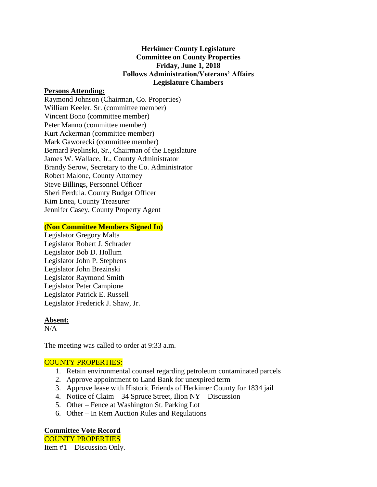## **Herkimer County Legislature Committee on County Properties Friday, June 1, 2018 Follows Administration/Veterans' Affairs Legislature Chambers**

#### **Persons Attending:**

Raymond Johnson (Chairman, Co. Properties) William Keeler, Sr. (committee member) Vincent Bono (committee member) Peter Manno (committee member) Kurt Ackerman (committee member) Mark Gaworecki (committee member) Bernard Peplinski, Sr., Chairman of the Legislature James W. Wallace, Jr., County Administrator Brandy Serow, Secretary to the Co. Administrator Robert Malone, County Attorney Steve Billings, Personnel Officer Sheri Ferdula. County Budget Officer Kim Enea, County Treasurer Jennifer Casey, County Property Agent

### **(Non Committee Members Signed In)**

Legislator Gregory Malta Legislator Robert J. Schrader Legislator Bob D. Hollum Legislator John P. Stephens Legislator John Brezinski Legislator Raymond Smith Legislator Peter Campione Legislator Patrick E. Russell Legislator Frederick J. Shaw, Jr.

### **Absent:**

 $N/A$ 

The meeting was called to order at 9:33 a.m.

# COUNTY PROPERTIES:

- 1. Retain environmental counsel regarding petroleum contaminated parcels
- 2. Approve appointment to Land Bank for unexpired term
- 3. Approve lease with Historic Friends of Herkimer County for 1834 jail
- 4. Notice of Claim 34 Spruce Street, Ilion NY Discussion
- 5. Other Fence at Washington St. Parking Lot
- 6. Other In Rem Auction Rules and Regulations

### **Committee Vote Record**

COUNTY PROPERTIES

Item #1 – Discussion Only.